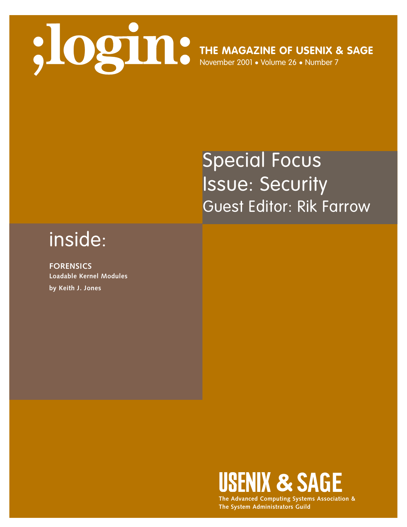

# Special Focus Issue: Security Guest Editor: Rik Farrow

## inside:

**FORENSICS Loadable Kernel Modules by Keith J. Jones**



**The Advanced Computing Systems Association & The System Administrators Guild**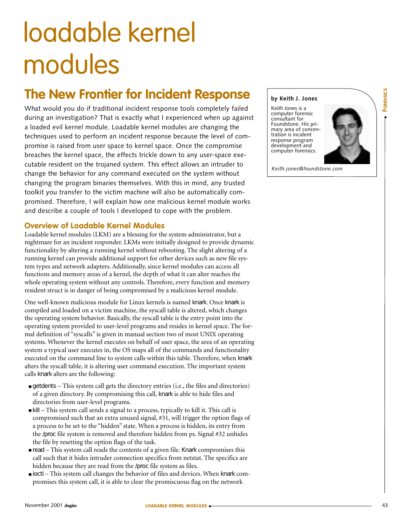### **The New Frontier for Incident Response**

The **Convertision of the convertision of the convertision of the convertision of the convertision of the convertision of the convertision of the convertision of the convertision of the convertision of the convertision of t** What would you do if traditional incident response tools completely failed during an investigation? That is exactly what I experienced when up against a loaded evil kernel module. Loadable kernel modules are changing the techniques used to perform an incident response because the level of compromise is raised from user space to kernel space. Once the compromise breaches the kernel space, the effects trickle down to any user-space executable resident on the trojaned system. This effect allows an intruder to change the behavior for any command executed on the system without changing the program binaries themselves. With this in mind, any trusted toolkit you transfer to the victim machine will also be automatically compromised. Therefore, I will explain how one malicious kernel module works and describe a couple of tools I developed to cope with the problem.

### **Overview of Loadable Kernel Modules**

modules

Loadable kernel modules (LKM) are a blessing for the system administrator, but a nightmare for an incident responder. LKMs were initially designed to provide dynamic functionality by altering a running kernel without rebooting. The slight altering of a running kernel can provide additional support for other devices such as new file system types and network adapters. Additionally, since kernel modules can access all functions and memory areas of a kernel, the depth of what it can alter reaches the whole operating system without any controls. Therefore, every function and memory resident struct is in danger of being compromised by a malicious kernel module.

One well-known malicious module for Linux kernels is named knark. Once knark is compiled and loaded on a victim machine, the syscall table is altered, which changes the operating system behavior. Basically, the syscall table is the entry point into the operating system provided to user-level programs and resides in kernel space. The formal definition of "syscalls" is given in manual section two of most UNIX operating systems. Whenever the kernel executes on behalf of user space, the area of an operating system a typical user executes in, the OS maps all of the commands and functionality executed on the command line to system calls within this table. Therefore, when knark alters the syscall table, it is altering user command execution. The important system calls knark alters are the following:

- getdents This system call gets the directory entries (i.e., the files and directories) of a given directory. By compromising this call, knark is able to hide files and directories from user-level programs.
- kill This system call sends a signal to a process, typically to kill it. This call is compromised such that an extra unused signal, #31, will trigger the option flags of a process to be set to the "hidden" state. When a process is hidden, its entry from the /proc file system is removed and therefore hidden from ps. Signal #32 unhides the file by resetting the option flags of the task.
- read This system call reads the contents of a given file. Knark compromises this call such that it hides intruder connection specifics from netstat. The specifics are hidden because they are read from the /proc file system as files.
- ioctl This system call changes the behavior of files and devices. When knark compromises this system call, it is able to clear the promiscuous flag on the network

**LOADABLE KERNEL MODULES** ●

#### **by Keith J. Jones**

Keith Jones is a computer forensic consultant for Foundstone. His primary area of concentration is incident response program development and computer forensics.



*Keith.jones@foundstone.com*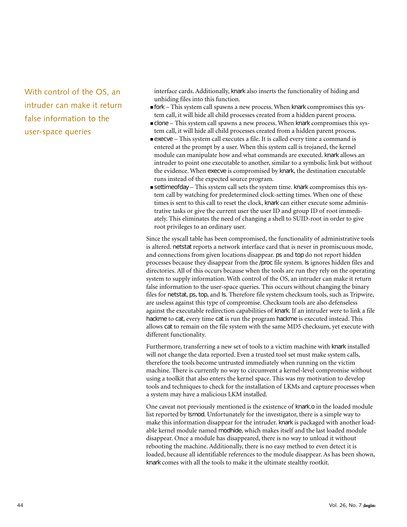With control of the OS, an intruder can make it return false information to the user-space queries

interface cards. Additionally, knark also inserts the functionality of hiding and unhiding files into this function.

- fork This system call spawns a new process. When knark compromises this system call, it will hide all child processes created from a hidden parent process.
- clone This system call spawns a new process. When knark compromises this system call, it will hide all child processes created from a hidden parent process.
- execve This system call executes a file. It is called every time a command is entered at the prompt by a user. When this system call is trojaned, the kernel module can manipulate how and what commands are executed. knark allows an intruder to point one executable to another, similar to a symbolic link but without the evidence. When execve is compromised by knark, the destination executable runs instead of the expected source program.
- settimeofday This system call sets the system time. knark compromises this system call by watching for predetermined clock-setting times. When one of these times is sent to this call to reset the clock, knark can either execute some administrative tasks or give the current user the user ID and group ID of root immediately. This eliminates the need of changing a shell to SUID-root in order to give root privileges to an ordinary user.

Since the syscall table has been compromised, the functionality of administrative tools is altered. netstat reports a network interface card that is never in promiscuous mode, and connections from given locations disappear. ps and top do not report hidden processes because they disappear from the /proc file system. ls ignores hidden files and directories. All of this occurs because when the tools are run they rely on the operating system to supply information. With control of the OS, an intruder can make it return false information to the user-space queries. This occurs without changing the binary files for netstat, ps, top, and ls. Therefore file system checksum tools, such as Tripwire, are useless against this type of compromise. Checksum tools are also defenseless against the executable redirection capabilities of knark. If an intruder were to link a file hackme to cat, every time cat is run the program hackme is executed instead. This allows cat to remain on the file system with the same MD5 checksum, yet execute with different functionality.

Furthermore, transferring a new set of tools to a victim machine with knark installed will not change the data reported. Even a trusted tool set must make system calls, therefore the tools become untrusted immediately when running on the victim machine. There is currently no way to circumvent a kernel-level compromise without using a toolkit that also enters the kernel space. This was my motivation to develop tools and techniques to check for the installation of LKMs and capture processes when a system may have a malicious LKM installed.

One caveat not previously mentioned is the existence of knark.o in the loaded module list reported by lsmod. Unfortunately for the investigator, there is a simple way to make this information disappear for the intruder. knark is packaged with another loadable kernel module named modhide, which makes itself and the last loaded module disappear. Once a module has disappeared, there is no way to unload it without rebooting the machine. Additionally, there is no easy method to even detect it is loaded, because all identifiable references to the module disappear. As has been shown, knark comes with all the tools to make it the ultimate stealthy rootkit.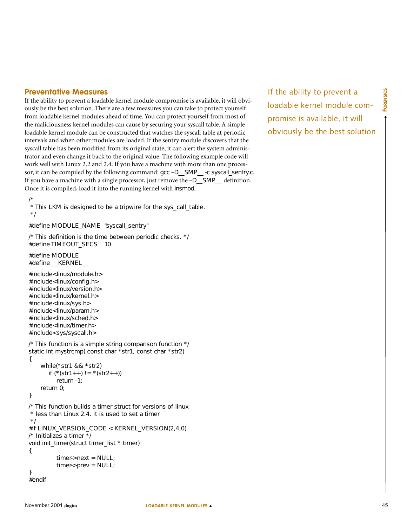#### **Preventative Measures**

If the ability to prevent a loadable kernel module compromise is available, it will obviously be the best solution. There are a few measures you can take to protect yourself from loadable kernel modules ahead of time. You can protect yourself from most of the maliciousness kernel modules can cause by securing your syscall table. A simple loadable kernel module can be constructed that watches the syscall table at periodic intervals and when other modules are loaded. If the sentry module discovers that the syscall table has been modified from its original state, it can alert the system administrator and even change it back to the original value. The following example code will work well with Linux 2.2 and 2.4. If you have a machine with more than one processor, it can be compiled by the following command: gcc –D\_\_SMP\_\_ -c syscall\_sentry.c. If you have a machine with a single processor, just remove the –D\_\_SMP\_\_ definition. Once it is compiled, load it into the running kernel with insmod.

/\* \* This LKM is designed to be a tripwire for the sys\_call\_table. \*/

#define MODULE\_NAME "syscall\_sentry"

/\* This definition is the time between periodic checks. \*/ #define TIMEOUT\_SECS 10

#define MODULE #define \_\_KERNEL\_\_

```
#include<linux/module.h>
#include<linux/config.h>
#include<linux/version.h>
#include<linux/kernel.h>
#include<linux/sys.h>
#include<linux/param.h>
#include<linux/sched.h>
#include<linux/timer.h>
#include<sys/syscall.h>
```

```
/* This function is a simple string comparison function */
static int mystrcmp( const char *str1, const char *str2)
{
```

```
while(*str1 && *str2)
  if (* (str1++) != * (str2++) )return -1;
return 0;
```

```
}
```
/\* This function builds a timer struct for versions of linux \* less than Linux 2.4. It is used to set a timer \*/ #if LINUX\_VERSION\_CODE < KERNEL\_VERSION(2,4,0) /\* Initializes a timer \*/ void init\_timer(struct timer\_list \* timer) { timer->next = NULL; timer->prev = NULL; }

```
#endif
```
If the ability to prevent a loadable kernel module compromise is available, it will obviously be the best solution ● **FORENSICS**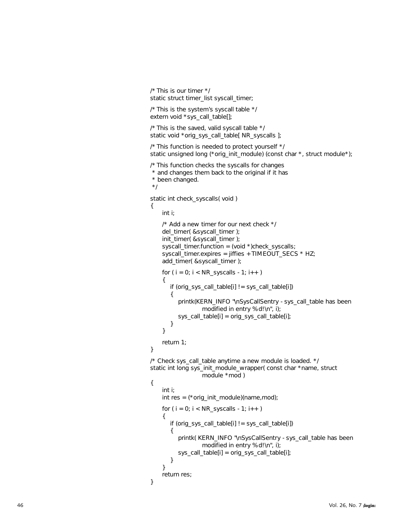```
/* This is our timer */
static struct timer_list syscall_timer;
```
/\* This is the system's syscall table \*/ extern void \*sys\_call\_table[];

/\* This is the saved, valid syscall table \*/ static void \*orig\_sys\_call\_table[ NR\_syscalls ];

/\* This function is needed to protect yourself \*/ static unsigned long (\*orig\_init\_module) (const char \*, struct module\*);

/\* This function checks the syscalls for changes

\* and changes them back to the original if it has

```
* been changed.
```
\*/

}

{

}

static int check\_syscalls( void ) {

int i;

```
/* Add a new timer for our next check */
    del_timer( &syscall_timer );
    init_timer( &syscall_timer );
    syscall_timer.function = (void *)check_syscalls;
    syscall_timer.expires = jiffies + TIMEOUT_SECS * HZ;
    add_timer( &syscall_timer );
    for (i = 0; i < NR syscalls - 1; i++)
    {
       if (orig_sys_call_table[i] != sys_call_table[i]) {
          printk(KERN_INFO "\nSysCallSentry - sys_call_table has been 
                   modified in entry %d!\n", i);
          sys_call_table[i] = orig_sys_call_table[i];
       }
    }
    return 1;
/* Check sys_call_table anytime a new module is loaded. */
static int long sys_init_module_wrapper( const char *name, struct 
                   module *mod )
    int i;
    int res = (*orig_init_module)(name,mod);
    for (i = 0; i < NR_syscalls - 1; i++)
    {
       if (orig_sys_call_table[i] != sys_call_table[i]) {
          printk( KERN_INFO "\nSysCallSentry - sys_call_table has been 
                   modified in entry %d!\n", i);
          sys_call_table[i] = orig_sys_call_table[i];
       }
     }
    return res;
```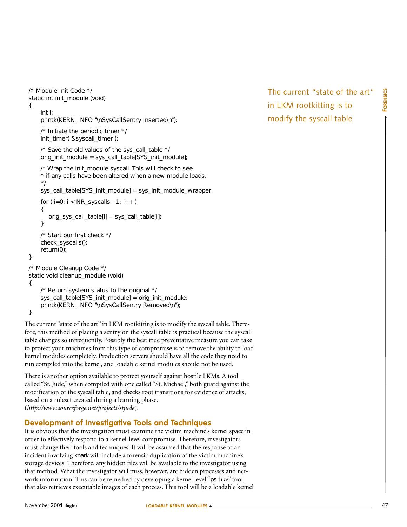```
/* Module Init Code */
static int init_module (void) 
{
    int i;
    printk(KERN_INFO "\nSysCallSentry Inserted\n");
    /* Initiate the periodic timer */
    init_timer( &syscall_timer );
    /* Save the old values of the sys_call_table */
    orig_init_module = sys_call_table[SYS_init_module]; 
    /* Wrap the init_module syscall. This will check to see
    * if any calls have been altered when a new module loads.
    */
    sys_call_table[SYS_init_module] = sys_init_module_wrapper;
    for (i=0; i < NR_s syscalls - 1; i++ )
    {
       orig_sys_call_table[i] = sys_call_table[i];
    }
    /* Start our first check */
    check_syscalls();
    return(0);
}
/* Module Cleanup Code */
static void cleanup_module (void)
{
    /* Return system status to the original */
    sys_call_table[SYS_init_module] = orig_init_module;
    printk(KERN_INFO "\nSysCallSentry Removed\n");
}
```
The current "state of the art" in LKM rootkitting is to modify the syscall table. Therefore, this method of placing a sentry on the syscall table is practical because the syscall table changes so infrequently. Possibly the best true preventative measure you can take to protect your machines from this type of compromise is to remove the ability to load kernel modules completely. Production servers should have all the code they need to run compiled into the kernel, and loadable kernel modules should not be used.

There is another option available to protect yourself against hostile LKMs. A tool called "St. Jude," when compiled with one called "St. Michael," both guard against the modification of the syscall table, and checks root transitions for evidence of attacks, based on a ruleset created during a learning phase. (*<http://www.sourceforge.net/projects/stjude>*).

#### **Development of Investigative Tools and Techniques**

It is obvious that the investigation must examine the victim machine's kernel space in order to effectively respond to a kernel-level compromise. Therefore, investigators must change their tools and techniques. It will be assumed that the response to an incident involving knark will include a forensic duplication of the victim machine's storage devices. Therefore, any hidden files will be available to the investigator using that method. What the investigator will miss, however, are hidden processes and network information. This can be remedied by developing a kernel level "ps-like" tool that also retrieves executable images of each process. This tool will be a loadable kernel The current "state of the art" in LKM rootkitting is to modify the syscall table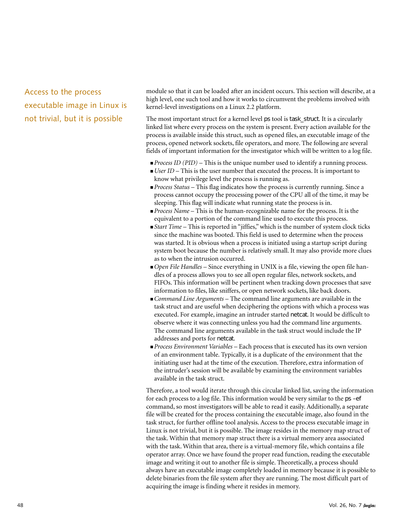Access to the process executable image in Linux is not trivial, but it is possible

module so that it can be loaded after an incident occurs. This section will describe, at a high level, one such tool and how it works to circumvent the problems involved with kernel-level investigations on a Linux 2.2 platform.

The most important struct for a kernel level ps tool is task\_struct. It is a circularly linked list where every process on the system is present. Every action available for the process is available inside this struct, such as opened files, an executable image of the process, opened network sockets, file operators, and more. The following are several fields of important information for the investigator which will be written to a log file.

- *Process ID (PID)* This is the unique number used to identify a running process.
- *User ID* This is the user number that executed the process. It is important to know what privilege level the process is running as.
- *Process Status* This flag indicates how the process is currently running. Since a process cannot occupy the processing power of the CPU all of the time, it may be sleeping. This flag will indicate what running state the process is in.
- *Process Name* This is the human-recognizable name for the process. It is the equivalent to a portion of the command line used to execute this process.
- *Start Time* This is reported in "jiffies," which is the number of system clock ticks since the machine was booted. This field is used to determine when the process was started. It is obvious when a process is initiated using a startup script during system boot because the number is relatively small. It may also provide more clues as to when the intrusion occurred.
- *Open File Handles* Since everything in UNIX is a file, viewing the open file handles of a process allows you to see all open regular files, network sockets, and FIFOs. This information will be pertinent when tracking down processes that save information to files, like sniffers, or open network sockets, like back doors.
- *Command Line Arguments* The command line arguments are available in the task struct and are useful when deciphering the options with which a process was executed. For example, imagine an intruder started netcat. It would be difficult to observe where it was connecting unless you had the command line arguments. The command line arguments available in the task struct would include the IP addresses and ports for netcat.
- *Process Environment Variables*  Each process that is executed has its own version of an environment table. Typically, it is a duplicate of the environment that the initiating user had at the time of the execution. Therefore, extra information of the intruder's session will be available by examining the environment variables available in the task struct.

Therefore, a tool would iterate through this circular linked list, saving the information for each process to a log file. This information would be very similar to the ps –ef command, so most investigators will be able to read it easily. Additionally, a separate file will be created for the process containing the executable image, also found in the task struct, for further offline tool analysis. Access to the process executable image in Linux is not trivial, but it is possible. The image resides in the memory map struct of the task. Within that memory map struct there is a virtual memory area associated with the task. Within that area, there is a virtual-memory file, which contains a file operator array. Once we have found the proper read function, reading the executable image and writing it out to another file is simple. Theoretically, a process should always have an executable image completely loaded in memory because it is possible to delete binaries from the file system after they are running. The most difficult part of acquiring the image is finding where it resides in memory.